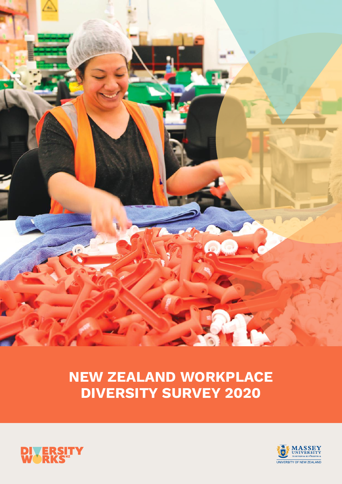



# **New Zealand workplace Diversity Survey 2020**

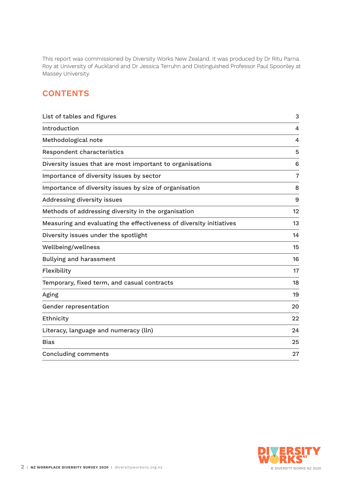This report was commissioned by Diversity Works New Zealand. It was produced by Dr Ritu Parna Roy at University of Auckland and Dr Jessica Terruhn and Distinguished Professor Paul Spoonley at Massey University.

# **CONTENTS**

| List of tables and figures                                          | 3              |
|---------------------------------------------------------------------|----------------|
| Introduction                                                        | 4              |
| Methodological note                                                 | $\overline{4}$ |
| Respondent characteristics                                          | 5              |
| Diversity issues that are most important to organisations           | 6              |
| Importance of diversity issues by sector                            | 7              |
| Importance of diversity issues by size of organisation              | 8              |
| Addressing diversity issues                                         | 9              |
| Methods of addressing diversity in the organisation                 | 12             |
| Measuring and evaluating the effectiveness of diversity initiatives | 13             |
| Diversity issues under the spotlight                                | 14             |
| Wellbeing/wellness                                                  | 15             |
| <b>Bullying and harassment</b>                                      | 16             |
| Flexibility                                                         | 17             |
| Temporary, fixed term, and casual contracts                         | 18             |
| Aging                                                               | 19             |
| Gender representation                                               | 20             |
| Ethnicity                                                           | 22             |
| Literacy, language and numeracy (lln)                               | 24             |
| <b>Bias</b>                                                         | 25             |
| <b>Concluding comments</b>                                          | 27             |

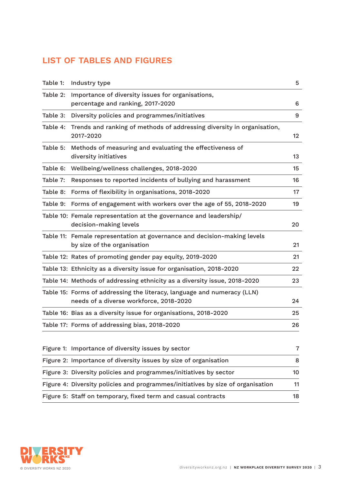# **List of tables and figures**

| Table 1: | Industry type                                                                                                      | 5               |
|----------|--------------------------------------------------------------------------------------------------------------------|-----------------|
| Table 2: | Importance of diversity issues for organisations,<br>percentage and ranking, 2017-2020                             | 6               |
| Table 3: | Diversity policies and programmes/initiatives                                                                      | 9               |
|          | Table 4: Trends and ranking of methods of addressing diversity in organisation,<br>2017-2020                       | 12 <sup>°</sup> |
| Table 5: | Methods of measuring and evaluating the effectiveness of<br>diversity initiatives                                  | 13              |
|          | Table 6: Wellbeing/wellness challenges, 2018-2020                                                                  | 15              |
| Table 7: | Responses to reported incidents of bullying and harassment                                                         | 16              |
|          | Table 8: Forms of flexibility in organisations, 2018-2020                                                          | 17              |
|          | Table 9: Forms of engagement with workers over the age of 55, 2018-2020                                            | 19              |
|          | Table 10: Female representation at the governance and leadership/<br>decision-making levels                        | 20              |
|          | Table 11: Female representation at governance and decision-making levels<br>by size of the organisation            | 21              |
|          | Table 12: Rates of promoting gender pay equity, 2019-2020                                                          | 21              |
|          | Table 13: Ethnicity as a diversity issue for organisation, 2018-2020                                               | 22              |
|          | Table 14: Methods of addressing ethnicity as a diversity issue, 2018-2020                                          | 23              |
|          | Table 15: Forms of addressing the literacy, language and numeracy (LLN)<br>needs of a diverse workforce, 2018-2020 | 24              |
|          | Table 16: Bias as a diversity issue for organisations, 2018-2020                                                   | 25              |
|          | Table 17: Forms of addressing bias, 2018-2020                                                                      | 26              |
|          | Figure 1: Importance of diversity issues by sector                                                                 | 7               |
|          | Figure 2: Importance of diversity issues by size of organisation                                                   | 8               |
|          | Figure 3: Diversity policies and programmes/initiatives by sector                                                  | 10              |
|          | Figure 4: Diversity policies and programmes/initiatives by size of organisation                                    | 11              |
|          | Figure 5: Staff on temporary, fixed term and casual contracts                                                      | 18              |

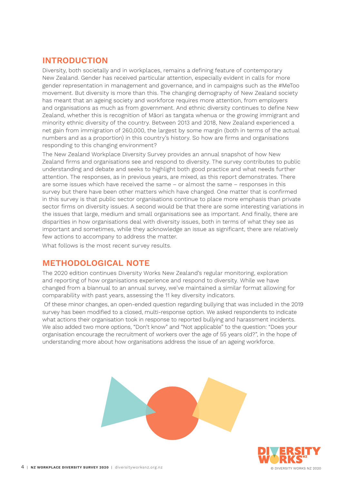#### **Introduction**

Diversity, both societally and in workplaces, remains a defining feature of contemporary New Zealand. Gender has received particular attention, especially evident in calls for more gender representation in management and governance, and in campaigns such as the #MeToo movement. But diversity is more than this. The changing demography of New Zealand society has meant that an ageing society and workforce requires more attention, from employers and organisations as much as from government. And ethnic diversity continues to define New Zealand, whether this is recognition of Māori as tangata whenua or the growing immigrant and minority ethnic diversity of the country. Between 2013 and 2018, New Zealand experienced a net gain from immigration of 260,000, the largest by some margin (both in terms of the actual numbers and as a proportion) in this country's history. So how are firms and organisations responding to this changing environment?

The New Zealand Workplace Diversity Survey provides an annual snapshot of how New Zealand firms and organisations see and respond to diversity. The survey contributes to public understanding and debate and seeks to highlight both good practice and what needs further attention. The responses, as in previous years, are mixed, as this report demonstrates. There are some issues which have received the same – or almost the same – responses in this survey but there have been other matters which have changed. One matter that is confirmed in this survey is that public sector organisations continue to place more emphasis than private sector firms on diversity issues. A second would be that there are some interesting variations in the issues that large, medium and small organisations see as important. And finally, there are disparities in how organisations deal with diversity issues, both in terms of what they see as important and sometimes, while they acknowledge an issue as significant, there are relatively few actions to accompany to address the matter.

What follows is the most recent survey results.

#### **Methodological note**

The 2020 edition continues Diversity Works New Zealand's regular monitoring, exploration and reporting of how organisations experience and respond to diversity. While we have changed from a biannual to an annual survey, we've maintained a similar format allowing for comparability with past years, assessing the 11 key diversity indicators.

 Of these minor changes, an open-ended question regarding bullying that was included in the 2019 survey has been modified to a closed, multi-response option. We asked respondents to indicate what actions their organisation took in response to reported bullying and harassment incidents. We also added two more options, "Don't know" and "Not applicable" to the question: "Does your organisation encourage the recruitment of workers over the age of 55 years old?", in the hope of understanding more about how organisations address the issue of an ageing workforce.

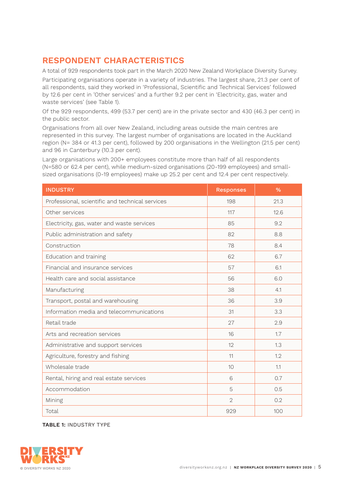# **Respondent characteristics**

A total of 929 respondents took part in the March 2020 New Zealand Workplace Diversity Survey.

Participating organisations operate in a variety of industries. The largest share, 21.3 per cent of all respondents, said they worked in 'Professional, Scientific and Technical Services' followed by 12.6 per cent in 'Other services' and a further 9.2 per cent in 'Electricity, gas, water and waste services' (see Table 1).

Of the 929 respondents, 499 (53.7 per cent) are in the private sector and 430 (46.3 per cent) in the public sector.

Organisations from all over New Zealand, including areas outside the main centres are represented in this survey. The largest number of organisations are located in the Auckland region (N= 384 or 41.3 per cent), followed by 200 organisations in the Wellington (21.5 per cent) and 96 in Canterbury (10.3 per cent).

Large organisations with 200+ employees constitute more than half of all respondents (N=580 or 62.4 per cent), while medium-sized organisations (20-199 employees) and smallsized organisations (0-19 employees) make up 25.2 per cent and 12.4 per cent respectively.

| <b>INDUSTRY</b>                                 | <b>Responses</b> | $\frac{9}{6}$ |
|-------------------------------------------------|------------------|---------------|
| Professional, scientific and technical services | 198              | 21.3          |
| Other services                                  | 117              | 12.6          |
| Electricity, gas, water and waste services      | 85               | 9.2           |
| Public administration and safety                | 82               | 8.8           |
| Construction                                    | 78               | 8.4           |
| Education and training                          | 62               | 6.7           |
| Financial and insurance services                | 57               | 6.1           |
| Health care and social assistance               | 56               | 6.0           |
| Manufacturing                                   | 38               | 4.1           |
| Transport, postal and warehousing               | 36               | 3.9           |
| Information media and telecommunications        | 31               | 3.3           |
| Retail trade                                    | 27               | 2.9           |
| Arts and recreation services                    | 16               | 1.7           |
| Administrative and support services             | 12               | 1.3           |
| Agriculture, forestry and fishing               | 11               | 1.2           |
| Wholesale trade                                 | 10               | 1.1           |
| Rental, hiring and real estate services         | 6                | 0.7           |
| Accommodation                                   | 5                | 0.5           |
| Mining                                          | $\overline{2}$   | 0.2           |
| Total                                           | 929              | 100           |

**Table 1:** Industry type

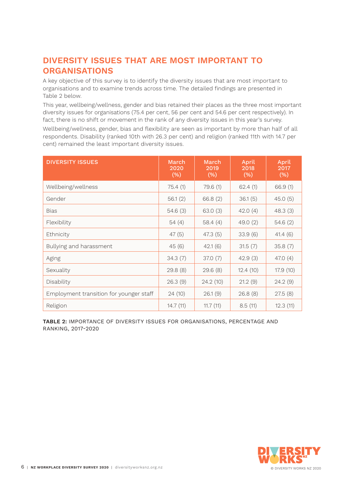# **Diversity issues that are most important to organisations**

A key objective of this survey is to identify the diversity issues that are most important to organisations and to examine trends across time. The detailed findings are presented in Table 2 below.

This year, wellbeing/wellness, gender and bias retained their places as the three most important diversity issues for organisations (75.4 per cent, 56 per cent and 54.6 per cent respectively). In fact, there is no shift or movement in the rank of any diversity issues in this year's survey.

Wellbeing/wellness, gender, bias and flexibility are seen as important by more than half of all respondents. Disability (ranked 10th with 26.3 per cent) and religion (ranked 11th with 14.7 per cent) remained the least important diversity issues.

| <b>DIVERSITY ISSUES</b>                 | March<br>2020<br>(% ) | March<br>2019<br>(% ) | April<br>2018<br>(% ) | April<br>2017<br>(% ) |
|-----------------------------------------|-----------------------|-----------------------|-----------------------|-----------------------|
| Wellbeing/wellness                      | 75.4(1)               | 79.6(1)               | 62.4(1)               | 66.9(1)               |
| Gender                                  | 56.1(2)               | 66.8(2)               | 36.1(5)               | 45.0(5)               |
| <b>Bias</b>                             | 54.6(3)               | 63.0(3)               | 42.0(4)               | 48.3(3)               |
| Flexibility                             | 54(4)                 | 58.4(4)               | 49.0(2)               | 54.6(2)               |
| Ethnicity                               | 47(5)                 | 47.3(5)               | 33.9(6)               | 41.4(6)               |
| Bullying and harassment                 | 45(6)                 | 42.1(6)               | 31.5(7)               | 35.8(7)               |
| Aging                                   | 34.3(7)               | 37.0(7)               | 42.9(3)               | 47.0(4)               |
| Sexuality                               | 29.8(8)               | 29.6(8)               | 12.4(10)              | 17.9 (10)             |
| Disability                              | 26.3(9)               | 24.2(10)              | 21.2(9)               | 24.2(9)               |
| Employment transition for younger staff | 24 (10)               | 26.1(9)               | 26.8(8)               | 27.5(8)               |
| Religion                                | 14.7(11)              | 11.7(11)              | 8.5(11)               | 12.3(11)              |

**Table 2:** Importance of diversity issues for organisations, percentage and ranking, 2017-2020

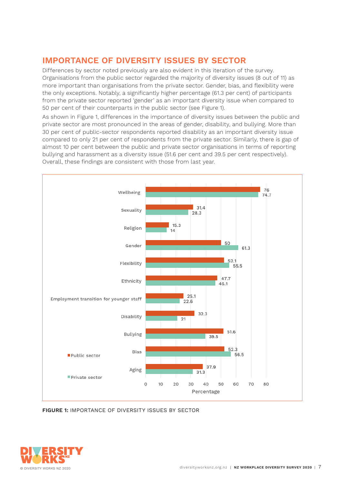#### **Importance of diversity issues by sector**

Differences by sector noted previously are also evident in this iteration of the survey. Organisations from the public sector regarded the majority of diversity issues (8 out of 11) as more important than organisations from the private sector. Gender, bias, and flexibility were the only exceptions. Notably, a significantly higher percentage (61.3 per cent) of participants from the private sector reported 'gender' as an important diversity issue when compared to 50 per cent of their counterparts in the public sector (see Figure 1).

As shown in Figure 1, differences in the importance of diversity issues between the public and private sector are most pronounced in the areas of gender, disability, and bullying. More than 30 per cent of public-sector respondents reported disability as an important diversity issue compared to only 21 per cent of respondents from the private sector. Similarly, there is gap of almost 10 per cent between the public and private sector organisations in terms of reporting bullying and harassment as a diversity issue (51.6 per cent and 39.5 per cent respectively). Overall, these findings are consistent with those from last year.



**Figure 1:** Importance of diversity issues by sector

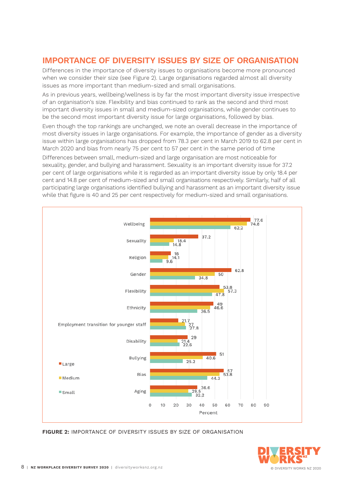#### **Importance of diversity issues by size of organisation**

Differences in the importance of diversity issues to organisations become more pronounced when we consider their size (see Figure 2). Large organisations regarded almost all diversity issues as more important than medium-sized and small organisations.

As in previous years, wellbeing/wellness is by far the most important diversity issue irrespective of an organisation's size. Flexibility and bias continued to rank as the second and third most important diversity issues in small and medium-sized organisations, while gender continues to be the second most important diversity issue for large organisations, followed by bias.

Even though the top rankings are unchanged, we note an overall decrease in the importance of most diversity issues in large organisations. For example, the importance of gender as a diversity issue within large organisations has dropped from 78.3 per cent in March 2019 to 62.8 per cent in March 2020 and bias from nearly 75 per cent to 57 per cent in the same period of time

Differences between small, medium-sized and large organisation are most noticeable for sexuality, gender, and bullying and harassment. Sexuality is an important diversity issue for 37.2 per cent of large organisations while it is regarded as an important diversity issue by only 18.4 per cent and 14.8 per cent of medium-sized and small organisations respectively. Similarly, half of all participating large organisations identified bullying and harassment as an important diversity issue while that figure is 40 and 25 per cent respectively for medium-sized and small organisations.



**Figure 2:** Importance of diversity issues by size of organisation

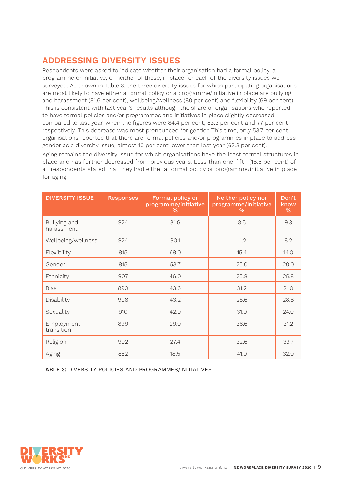### **Addressing diversity issues**

Respondents were asked to indicate whether their organisation had a formal policy, a programme or initiative, or neither of these, in place for each of the diversity issues we surveyed. As shown in Table 3, the three diversity issues for which participating organisations are most likely to have either a formal policy or a programme/initiative in place are bullying and harassment (81.6 per cent), wellbeing/wellness (80 per cent) and flexibility (69 per cent). This is consistent with last year's results although the share of organisations who reported to have formal policies and/or programmes and initiatives in place slightly decreased compared to last year, when the figures were 84.4 per cent, 83.3 per cent and 77 per cent respectively. This decrease was most pronounced for gender. This time, only 53.7 per cent organisations reported that there are formal policies and/or programmes in place to address gender as a diversity issue, almost 10 per cent lower than last year (62.3 per cent).

Aging remains the diversity issue for which organisations have the least formal structures in place and has further decreased from previous years. Less than one-fifth (18.5 per cent) of all respondents stated that they had either a formal policy or programme/initiative in place for aging.

| <b>DIVERSITY ISSUE</b>     | <b>Responses</b> | Formal policy or<br>programme/initiative<br>% | Neither policy nor<br>programme/Initiative<br>% | Don't<br>know<br>% |
|----------------------------|------------------|-----------------------------------------------|-------------------------------------------------|--------------------|
| Bullying and<br>harassment | 924              | 81.6                                          | 8.5                                             | 9.3                |
| Wellbeing/wellness         | 924              | 80.1                                          | 11.2                                            | 8.2                |
| Flexibility                | 915              | 69.0                                          | 15.4                                            | 14.0               |
| Gender                     | 915              | 53.7                                          | 25.0                                            | 20.0               |
| Ethnicity                  | 907              | 46.0                                          | 25.8                                            | 25.8               |
| <b>Bias</b>                | 890              | 43.6                                          | 31.2                                            | 21.0               |
| Disability                 | 908              | 43.2                                          | 25.6                                            | 28.8               |
| Sexuality                  | 910              | 42.9                                          | 31.0                                            | 24.0               |
| Employment<br>transition   | 899              | 29.0                                          | 36.6                                            | 31.2               |
| Religion                   | 902              | 27.4                                          | 32.6                                            | 33.7               |
| Aging                      | 852              | 18.5                                          | 41.0                                            | 32.0               |

**Table 3:** Diversity policies and programmes/initiatives

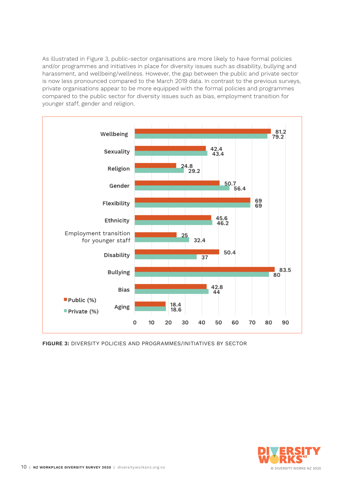As illustrated in Figure 3, public-sector organisations are more likely to have formal policies and/or programmes and initiatives in place for diversity issues such as disability, bullying and harassment, and wellbeing/wellness. However, the gap between the public and private sector is now less pronounced compared to the March 2019 data. In contrast to the previous surveys, private organisations appear to be more equipped with the formal policies and programmes compared to the public sector for diversity issues such as bias, employment transition for younger staff, gender and religion.



**Figure 3:** Diversity policies and programmes/initiatives by sector

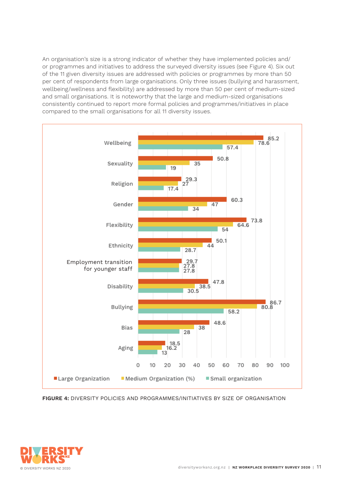An organisation's size is a strong indicator of whether they have implemented policies and/ or programmes and initiatives to address the surveyed diversity issues (see Figure 4). Six out of the 11 given diversity issues are addressed with policies or programmes by more than 50 per cent of respondents from large organisations. Only three issues (bullying and harassment, wellbeing/wellness and flexibility) are addressed by more than 50 per cent of medium-sized and small organisations. It is noteworthy that the large and medium-sized organisations consistently continued to report more formal policies and programmes/initiatives in place compared to the small organisations for all 11 diversity issues.



**Figure 4:** Diversity policies and programmes/initiatives by size of organisation

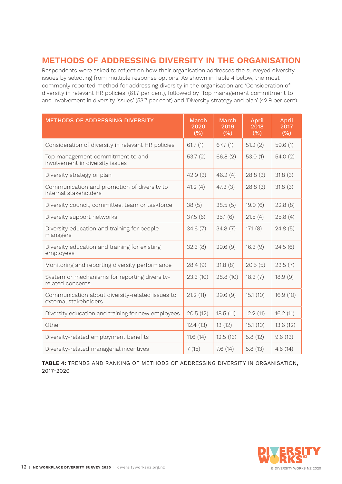#### **Methods of addressing diversity in the organisation**

Respondents were asked to reflect on how their organisation addresses the surveyed diversity issues by selecting from multiple response options. As shown in Table 4 below, the most commonly reported method for addressing diversity in the organisation are 'Consideration of diversity in relevant HR policies' (61.7 per cent), followed by 'Top management commitment to and involvement in diversity issues' (53.7 per cent) and 'Diversity strategy and plan' (42.9 per cent).

| <b>METHODS OF ADDRESSING DIVERSITY</b>                                   | March<br>2020<br>(% ) | March<br>2019<br>(% ) | April<br>2018<br>(% ) | April<br>2017<br>(%) |
|--------------------------------------------------------------------------|-----------------------|-----------------------|-----------------------|----------------------|
| Consideration of diversity in relevant HR policies                       | 61.7(1)               | 67.7(1)               | 51.2(2)               | 59.6(1)              |
| Top management commitment to and<br>involvement in diversity issues      | 53.7(2)               | 66.8(2)               | 53.0(1)               | 54.0(2)              |
| Diversity strategy or plan                                               | 42.9(3)               | 46.2(4)               | 28.8(3)               | 31.8(3)              |
| Communication and promotion of diversity to<br>internal stakeholders     | 41.2(4)               | 47.3(3)               | 28.8(3)               | 31.8(3)              |
| Diversity council, committee, team or taskforce                          | 38(5)                 | 38.5(5)               | 19.0(6)               | 22.8(8)              |
| Diversity support networks                                               | 37.5(6)               | 35.1(6)               | 21.5(4)               | 25.8(4)              |
| Diversity education and training for people<br>managers                  | 34.6(7)               | 34.8(7)               | 17.1(8)               | 24.8(5)              |
| Diversity education and training for existing<br>employees               | 32.3(8)               | 29.6(9)               | 16.3(9)               | 24.5(6)              |
| Monitoring and reporting diversity performance                           | 28.4(9)               | 31.8(8)               | 20.5(5)               | 23.5(7)              |
| System or mechanisms for reporting diversity-<br>related concerns        | 23.3(10)              | 28.8(10)              | 18.3(7)               | 18.9(9)              |
| Communication about diversity-related issues to<br>external stakeholders | 21.2(11)              | 29.6(9)               | 15.1(10)              | 16.9(10)             |
| Diversity education and training for new employees                       | 20.5(12)              | 18.5(11)              | 12.2(11)              | 16.2(11)             |
| Other                                                                    | 12.4(13)              | 13(12)                | 15.1(10)              | 13.6 (12)            |
| Diversity-related employment benefits                                    | 11.6(14)              | 12.5(13)              | 5.8(12)               | 9.6(13)              |
| Diversity-related managerial incentives                                  | 7(15)                 | 7.6(14)               | 5.8(13)               | 4.6(14)              |

**Table 4:** Trends and ranking of methods of addressing diversity in organisation, 2017-2020

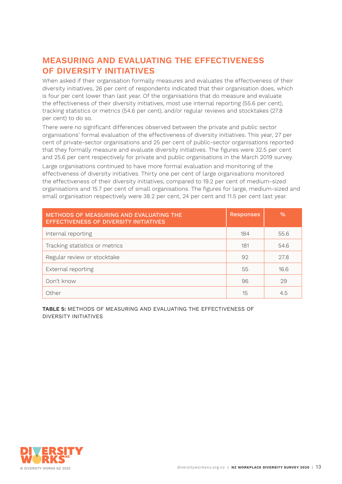# **Measuring and evaluating the effectiveness of diversity initiatives**

When asked if their organisation formally measures and evaluates the effectiveness of their diversity initiatives, 26 per cent of respondents indicated that their organisation does, which is four per cent lower than last year. Of the organisations that do measure and evaluate the effectiveness of their diversity initiatives, most use internal reporting (55.6 per cent), tracking statistics or metrics (54.6 per cent), and/or regular reviews and stocktakes (27.8 per cent) to do so.

There were no significant differences observed between the private and public sector organisations' formal evaluation of the effectiveness of diversity initiatives. This year, 27 per cent of private-sector organisations and 25 per cent of public-sector organisations reported that they formally measure and evaluate diversity initiatives. The figures were 32.5 per cent and 25.6 per cent respectively for private and public organisations in the March 2019 survey.

Large organisations continued to have more formal evaluation and monitoring of the effectiveness of diversity initiatives. Thirty one per cent of large organisations monitored the effectiveness of their diversity initiatives, compared to 19.2 per cent of medium-sized organisations and 15.7 per cent of small organisations. The figures for large, medium-sized and small organisation respectively were 38.2 per cent, 24 per cent and 11.5 per cent last year.

| METHODS OF MEASURING AND EVALUATING THE<br><b>EFFECTIVENESS OF DIVERSITY INITIATIVES</b> | <b>Responses</b> | $\frac{9}{6}$ |
|------------------------------------------------------------------------------------------|------------------|---------------|
| Internal reporting                                                                       | 184              | 55.6          |
| Tracking statistics or metrics                                                           | 181              | 54.6          |
| Regular review or stocktake                                                              | 92               | 27.8          |
| External reporting                                                                       | 55               | 16.6          |
| Don't know                                                                               | 96               | 29            |
| Other                                                                                    | 15               | 4.5           |

**Table 5:** Methods of measuring and evaluating the effectiveness of diversity initiatives

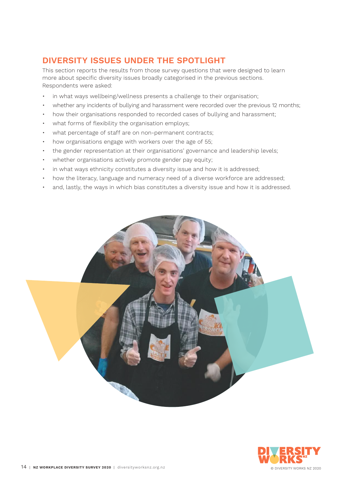### **Diversity issues under the spotlight**

This section reports the results from those survey questions that were designed to learn more about specific diversity issues broadly categorised in the previous sections. Respondents were asked:

- in what ways wellbeing/wellness presents a challenge to their organisation;
- whether any incidents of bullying and harassment were recorded over the previous 12 months;
- how their organisations responded to recorded cases of bullying and harassment;
- what forms of flexibility the organisation employs;
- what percentage of staff are on non-permanent contracts;
- how organisations engage with workers over the age of 55;
- the gender representation at their organisations' governance and leadership levels;
- whether organisations actively promote gender pay equity;
- in what ways ethnicity constitutes a diversity issue and how it is addressed;
- how the literacy, language and numeracy need of a diverse workforce are addressed;
- and, lastly, the ways in which bias constitutes a diversity issue and how it is addressed.



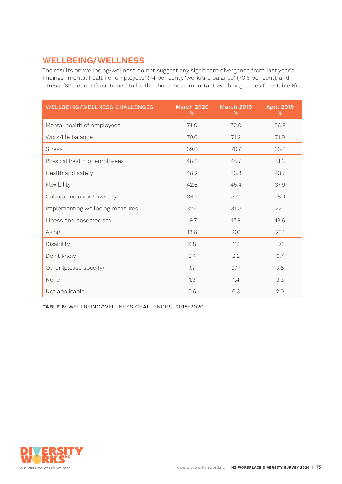# **Wellbeing/wellness**

The results on wellbeing/wellness do not suggest any significant divergence from last year's findings; 'mental health of employees' (74 per cent), 'work/life balance' (70.6 per cent), and 'stress' (69 per cent) continued to be the three most important wellbeing issues (see Table 6).

| <b>WELLBEING/WELLNESS CHALLENGES</b> | <b>March 2020</b><br>% | <b>March 2019</b><br>% | <b>April 2018</b><br>% |
|--------------------------------------|------------------------|------------------------|------------------------|
| Mental health of employees           | 74.0                   | 72.0                   | 56.8                   |
| Work/life balance                    | 70.6                   | 71.2                   | 71.9                   |
| <b>Stress</b>                        | 69.0                   | 70.7                   | 66.8                   |
| Physical health of employees         | 48.8                   | 45.7                   | 51.3                   |
| Health and safety                    | 48.2                   | 53.8                   | 43.7                   |
| Flexibility                          | 42.6                   | 45.4                   | 37.9                   |
| Cultural inclusion/diversity         | 36.7                   | 32.1                   | 25.4                   |
| Implementing wellbeing measures      | 32.6                   | 31.0                   | 22.1                   |
| Illness and absenteeism              | 19.7                   | 17.9                   | 18.6                   |
| Aging                                | 18.6                   | 20.1                   | 23.1                   |
| Disability                           | 9.8                    | 11.1                   | 7.0                    |
| Don't know                           | 3.4                    | 2.2                    | 0.7                    |
| Other (please specify)               | 1.7                    | 2.17                   | 3.8                    |
| None                                 | 1.3                    | 1.4                    | 3.3                    |
| Not applicable                       | 0.6                    | 0.3                    | 2.0                    |

**Table 6:** Wellbeing/wellness challenges, 2018-2020

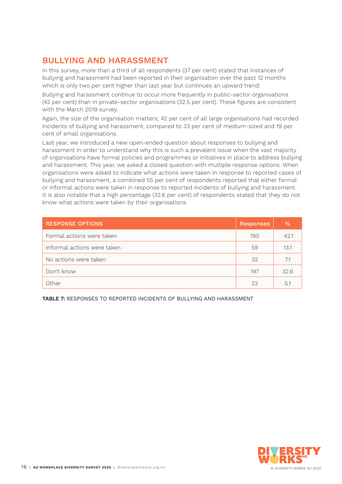#### **Bullying and harassment**

In this survey, more than a third of all respondents (37 per cent) stated that instances of bullying and harassment had been reported in their organisation over the past 12 months which is only two per cent higher than last year but continues an upward trend.

Bullying and harassment continue to occur more frequently in public-sector organisations (42 per cent) than in private-sector organisations (32.5 per cent). These figures are consistent with the March 2019 survey.

Again, the size of the organisation matters; 42 per cent of all large organisations had recorded incidents of bullying and harassment, compared to 33 per cent of medium-sized and 19 per cent of small organisations.

Last year, we introduced a new open-ended question about responses to bullying and harassment in order to understand why this is such a prevalent issue when the vast majority of organisations have formal policies and programmes or initiatives in place to address bullying and harassment. This year, we asked a closed question with multiple response options. When organisations were asked to indicate what actions were taken in response to reported cases of bullying and harassment, a combined 55 per cent of respondents reported that either formal or informal actions were taken in response to reported incidents of bullying and harassment. It is also notable that a high percentage (32.6 per cent) of respondents stated that they do not know what actions were taken by their organisations.

| <b>RESPONSE OPTIONS</b>     | Responses | $\frac{9}{6}$ |
|-----------------------------|-----------|---------------|
| Formal actions were taken   | 190       | 42.1          |
| Informal actions were taken | 59        | 13.1          |
| No actions were taken       | 32        | 7.1           |
| Don't know                  | 147       | 32.6          |
| Other                       | 23        | 5.1           |

**Table 7:** Responses to reported incidents of bullying and harassment

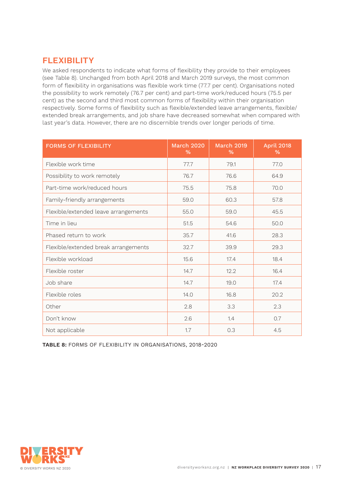# **Flexibility**

We asked respondents to indicate what forms of flexibility they provide to their employees (see Table 8). Unchanged from both April 2018 and March 2019 surveys, the most common form of flexibility in organisations was flexible work time (77.7 per cent). Organisations noted the possibility to work remotely (76.7 per cent) and part-time work/reduced hours (75.5 per cent) as the second and third most common forms of flexibility within their organisation respectively. Some forms of flexibility such as flexible/extended leave arrangements, flexible/ extended break arrangements, and job share have decreased somewhat when compared with last year's data. However, there are no discernible trends over longer periods of time.

| <b>FORMS OF FLEXIBILITY</b>          | <b>March 2020</b><br>% | <b>March 2019</b><br>% | <b>April 2018</b><br>% |
|--------------------------------------|------------------------|------------------------|------------------------|
| Flexible work time                   | 77.7                   | 79.1                   | 77.0                   |
| Possibility to work remotely         | 76.7                   | 76.6                   | 64.9                   |
| Part-time work/reduced hours         | 75.5                   | 75.8                   | 70.0                   |
| Family-friendly arrangements         | 59.0                   | 60.3                   | 57.8                   |
| Flexible/extended leave arrangements | 55.0                   | 59.0                   | 45.5                   |
| Time in lieu                         | 51.5                   | 54.6                   | 50.0                   |
| Phased return to work                | 35.7                   | 41.6                   | 28.3                   |
| Flexible/extended break arrangements | 32.7                   | 39.9                   | 29.3                   |
| Flexible workload                    | 15.6                   | 17.4                   | 18.4                   |
| Flexible roster                      | 14.7                   | 12.2                   | 16.4                   |
| Job share                            | 14.7                   | 19.0                   | 17.4                   |
| Flexible roles                       | 14.0                   | 16.8                   | 20.2                   |
| Other                                | 2.8                    | 3.3                    | 2.3                    |
| Don't know                           | 2.6                    | 1.4                    | 0.7                    |
| Not applicable                       | 1.7                    | 0.3                    | 4.5                    |

**Table 8:** Forms of flexibility in organisations, 2018-2020

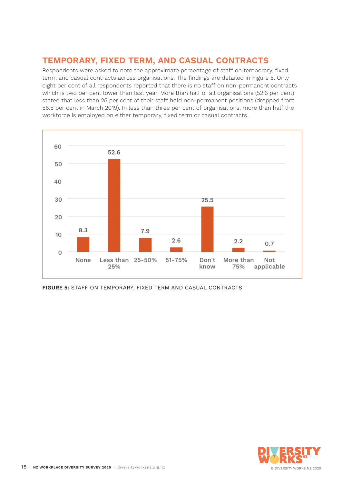#### **Temporary, fixed term, and casual contracts**

Respondents were asked to note the approximate percentage of staff on temporary, fixed term, and casual contracts across organisations. The findings are detailed in Figure 5. Only eight per cent of all respondents reported that there is no staff on non-permanent contracts which is two per cent lower than last year. More than half of all organisations (52.6 per cent) stated that less than 25 per cent of their staff hold non-permanent positions (dropped from 56.5 per cent in March 2019). In less than three per cent of organisations, more than half the workforce is employed on either temporary, fixed term or casual contracts.



**Figure 5:** staff on temporary, fixed term and casual contracts

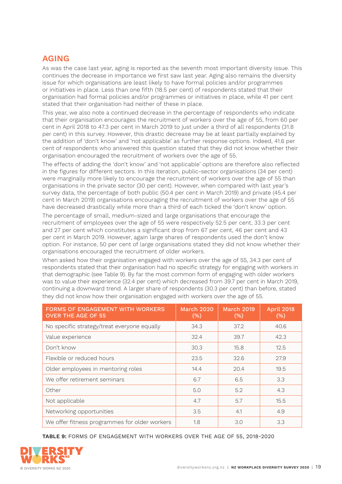# **AGING**

As was the case last year, aging is reported as the seventh most important diversity issue. This continues the decrease in importance we first saw last year. Aging also remains the diversity issue for which organisations are least likely to have formal policies and/or programmes or initiatives in place. Less than one fifth (18.5 per cent) of respondents stated that their organisation had formal policies and/or programmes or initiatives in place, while 41 per cent stated that their organisation had neither of these in place.

This year, we also note a continued decrease in the percentage of respondents who indicate that their organisation encourages the recruitment of workers over the age of 55, from 60 per cent in April 2018 to 47.3 per cent in March 2019 to just under a third of all respondents (31.8 per cent) in this survey. However, this drastic decrease may be at least partially explained by the addition of 'don't know' and 'not applicable' as further response options. Indeed, 41.6 per cent of respondents who answered this question stated that they did not know whether their organisation encouraged the recruitment of workers over the age of 55.

The effects of adding the 'don't know' and 'not applicable' options are therefore also reflected in the figures for different sectors. In this iteration, public-sector organisations (34 per cent) were marginally more likely to encourage the recruitment of workers over the age of 55 than organisations in the private sector (30 per cent). However, when compared with last year's survey data, the percentage of both public (50.4 per cent in March 2019) and private (45.4 per cent in March 2019) organisations encouraging the recruitment of workers over the age of 55 have decreased drastically while more than a third of each ticked the 'don't know' option.

The percentage of small, medium-sized and large organisations that encourage the recruitment of employees over the age of 55 were respectively 52.5 per cent, 33.3 per cent and 27 per cent which constitutes a significant drop from 67 per cent, 46 per cent and 43 per cent in March 2019. However, again large shares of respondents used the don't know option. For instance, 50 per cent of large organisations stated they did not know whether their organisations encouraged the recruitment of older workers.

When asked how their organisation engaged with workers over the age of 55, 34.3 per cent of respondents stated that their organisation had no specific strategy for engaging with workers in that demographic (see Table 9). By far the most common form of engaging with older workers was to value their experience (32.4 per cent) which decreased from 39.7 per cent in March 2019, continuing a downward trend. A larger share of respondents (30.3 per cent) than before, stated they did not know how their organisation engaged with workers over the age of 55.

| <b>FORMS OF ENGAGEMENT WITH WORKERS</b><br><b>OVER THE AGE OF 55</b> | <b>March 2020</b><br>(% ) | <b>March 2019</b><br>(% ) | <b>April 2018</b><br>(% ) |
|----------------------------------------------------------------------|---------------------------|---------------------------|---------------------------|
| No specific strategy/treat everyone equally                          | 34.3                      | 37.2                      | 40.6                      |
| Value experience                                                     | 32.4                      | 39.7                      | 42.3                      |
| Don't know                                                           | 30.3                      | 15.8                      | 12.5                      |
| Flexible or reduced hours                                            | 23.5                      | 32.6                      | 27.9                      |
| Older employees in mentoring roles                                   | 14.4                      | 20.4                      | 19.5                      |
| We offer retirement seminars                                         | 6.7                       | 6.5                       | 3.3                       |
| Other                                                                | 5.0                       | 5.2                       | 4.3                       |
| Not applicable                                                       | 4.7                       | 5.7                       | 15.5                      |
| Networking opportunities                                             | 3.5                       | 4.1                       | 4.9                       |
| We offer fitness programmes for older workers                        | 1.8                       | 3.0                       | 3.3                       |

**Table 9:** Forms of engagement with workers over the age of 55, 2018-2020

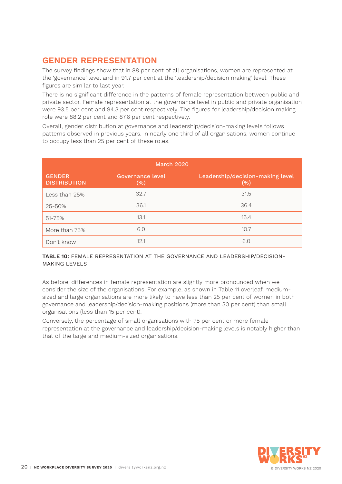### **Gender representation**

The survey findings show that in 88 per cent of all organisations, women are represented at the 'governance' level and in 91.7 per cent at the 'leadership/decision making' level. These figures are similar to last year.

There is no significant difference in the patterns of female representation between public and private sector. Female representation at the governance level in public and private organisation were 93.5 per cent and 94.3 per cent respectively. The figures for leadership/decision making role were 88.2 per cent and 87.6 per cent respectively.

Overall, gender distribution at governance and leadership/decision-making levels follows patterns observed in previous years. In nearly one third of all organisations, women continue to occupy less than 25 per cent of these roles.

| <b>March 2020</b>                    |                          |                                          |  |  |
|--------------------------------------|--------------------------|------------------------------------------|--|--|
| <b>GENDER</b><br><b>DISTRIBUTION</b> | Governance level<br>(% ) | Leadership/decision-making level<br>(% ) |  |  |
| Less than 25%                        | 32.7                     | 31.5                                     |  |  |
| 25-50%                               | 36.1                     | 36.4                                     |  |  |
| 51-75%                               | 13.1                     | 15.4                                     |  |  |
| More than 75%                        | 6.0                      | 10.7                                     |  |  |
| Don't know                           | 12.1                     | 6.0                                      |  |  |

#### **Table 10:** Female representation at the governance and leadership/decision-MAKING I FVFI S

As before, differences in female representation are slightly more pronounced when we consider the size of the organisations. For example, as shown in Table 11 overleaf, mediumsized and large organisations are more likely to have less than 25 per cent of women in both governance and leadership/decision-making positions (more than 30 per cent) than small organisations (less than 15 per cent).

Conversely, the percentage of small organisations with 75 per cent or more female representation at the governance and leadership/decision-making levels is notably higher than that of the large and medium-sized organisations.

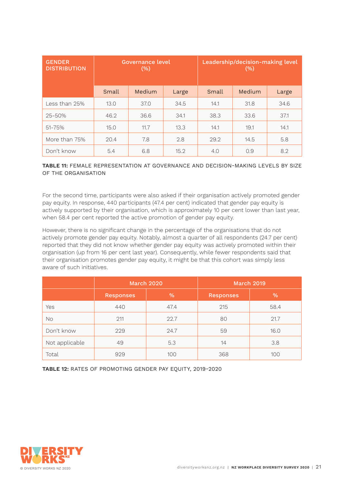| <b>GENDER</b><br><b>DISTRIBUTION</b> | Governance level<br>$(\% )$ |        | Leadership/decision-making level<br>(% ) |       |        |       |
|--------------------------------------|-----------------------------|--------|------------------------------------------|-------|--------|-------|
|                                      | Small                       | Medium | Large                                    | Small | Medium | Large |
| Less than 25%                        | 13.0                        | 37.0   | 34.5                                     | 14.1  | 31.8   | 34.6  |
| $25 - 50%$                           | 46.2                        | 36.6   | 34.1                                     | 38.3  | 33.6   | 37.1  |
| 51-75%                               | 15.0                        | 11.7   | 13.3                                     | 14.1  | 19.1   | 14.1  |
| More than 75%                        | 20.4                        | 7.8    | 2.8                                      | 29.2  | 14.5   | 5.8   |
| Don't know                           | 5.4                         | 6.8    | 15.2                                     | 4.0   | 0.9    | 8.2   |

#### **Table 11:** Female representation at governance and decision-making levels by size of the organisation

For the second time, participants were also asked if their organisation actively promoted gender pay equity. In response, 440 participants (47.4 per cent) indicated that gender pay equity is actively supported by their organisation, which is approximately 10 per cent lower than last year, when 58.4 per cent reported the active promotion of gender pay equity.

However, there is no significant change in the percentage of the organisations that do not actively promote gender pay equity. Notably, almost a quarter of all respondents (24.7 per cent) reported that they did not know whether gender pay equity was actively promoted within their organisation (up from 16 per cent last year). Consequently, while fewer respondents said that their organisation promotes gender pay equity, it might be that this cohort was simply less aware of such initiatives.

|                |                  | <b>March 2020</b> | <b>March 2019</b> |      |  |
|----------------|------------------|-------------------|-------------------|------|--|
|                | <b>Responses</b> | %                 | <b>Responses</b>  | %    |  |
| <b>Yes</b>     | 440              | 47.4              | 215               | 58.4 |  |
| <b>No</b>      | 211              | 22.7              | 80                | 21.7 |  |
| Don't know     | 229              | 24.7              | 59                | 16.0 |  |
| Not applicable | 49               | 5.3               | 14                | 3.8  |  |
| Total          | 929              | 100               | 368               | 100  |  |

**Table 12:** Rates of promoting gender pay equity, 2019-2020

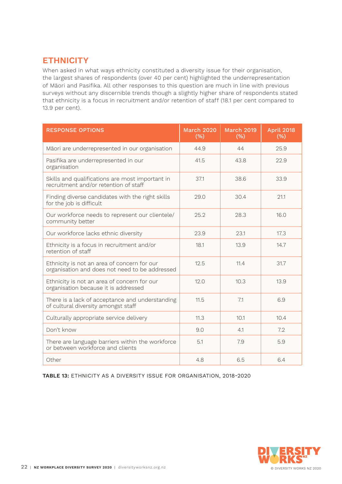# **ETHNICITY**

When asked in what ways ethnicity constituted a diversity issue for their organisation, the largest shares of respondents (over 40 per cent) highlighted the underrepresentation of Māori and Pasifika. All other responses to this question are much in line with previous surveys without any discernible trends though a slightly higher share of respondents stated that ethnicity is a focus in recruitment and/or retention of staff (18.1 per cent compared to 13.9 per cent).

| <b>RESPONSE OPTIONS</b>                                                                       | <b>March 2020</b><br>(% ) | <b>March 2019</b><br>(% ) | <b>April 2018</b><br>(% ) |
|-----------------------------------------------------------------------------------------------|---------------------------|---------------------------|---------------------------|
| Māori are underrepresented in our organisation                                                | 44.9                      | 44                        | 25.9                      |
| Pasifika are underrepresented in our<br>organisation                                          | 41.5                      | 43.8                      | 22.9                      |
| Skills and qualifications are most important in<br>recruitment and/or retention of staff      | 37.1                      | 38.6                      | 33.9                      |
| Finding diverse candidates with the right skills<br>for the job is difficult                  | 29.0                      | 30.4                      | 21.1                      |
| Our workforce needs to represent our clientele/<br>community better                           | 25.2                      | 28.3                      | 16.0                      |
| Our workforce lacks ethnic diversity                                                          | 23.9                      | 23.1                      | 17.3                      |
| Ethnicity is a focus in recruitment and/or<br>retention of staff                              | 18.1                      | 13.9                      | 14.7                      |
| Ethnicity is not an area of concern for our<br>organisation and does not need to be addressed | 12.5                      | 11.4                      | 31.7                      |
| Ethnicity is not an area of concern for our<br>organisation because it is addressed           | 12.0                      | 10.3                      | 13.9                      |
| There is a lack of acceptance and understanding<br>of cultural diversity amongst staff        | 11.5                      | 7.1                       | 6.9                       |
| Culturally appropriate service delivery                                                       | 11.3                      | 10.1                      | 10.4                      |
| Don't know                                                                                    | 9.0                       | 4.1                       | 7.2                       |
| There are language barriers within the workforce<br>or between workforce and clients          | 5.1                       | 7.9                       | 5.9                       |
| Other                                                                                         | 4.8                       | 6.5                       | 6.4                       |

**Table 13:** Ethnicity as a diversity issue for organisation, 2018-2020

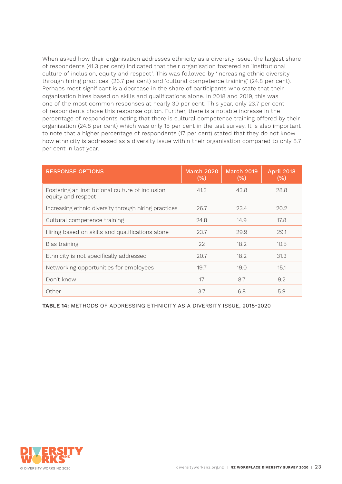When asked how their organisation addresses ethnicity as a diversity issue, the largest share of respondents (41.3 per cent) indicated that their organisation fostered an 'institutional culture of inclusion, equity and respect'. This was followed by 'increasing ethnic diversity through hiring practices' (26.7 per cent) and 'cultural competence training' (24.8 per cent). Perhaps most significant is a decrease in the share of participants who state that their organisation hires based on skills and qualifications alone. In 2018 and 2019, this was one of the most common responses at nearly 30 per cent. This year, only 23.7 per cent of respondents chose this response option. Further, there is a notable increase in the percentage of respondents noting that there is cultural competence training offered by their organisation (24.8 per cent) which was only 15 per cent in the last survey. It is also important to note that a higher percentage of respondents (17 per cent) stated that they do not know how ethnicity is addressed as a diversity issue within their organisation compared to only 8.7 per cent in last year.

| <b>RESPONSE OPTIONS</b>                                                | <b>March 2020</b><br>$(\% )$ | <b>March 2019</b><br>$(\% )$ | <b>April 2018</b><br>(% ) |
|------------------------------------------------------------------------|------------------------------|------------------------------|---------------------------|
| Fostering an institutional culture of inclusion,<br>equity and respect | 41.3                         | 43.8                         | 28.8                      |
| Increasing ethnic diversity through hiring practices                   | 26.7                         | 23.4                         | 20.2                      |
| Cultural competence training                                           | 24.8                         | 14.9                         | 17.8                      |
| Hiring based on skills and qualifications alone                        | 23.7                         | 29.9                         | 29.1                      |
| Bias training                                                          | 22                           | 18.2                         | 10.5                      |
| Ethnicity is not specifically addressed                                | 20.7                         | 18.2                         | 31.3                      |
| Networking opportunities for employees                                 | 19.7                         | 19.0                         | 15.1                      |
| Don't know                                                             | 17                           | 8.7                          | 9.2                       |
| Other                                                                  | 3.7                          | 6.8                          | 5.9                       |

**Table 14:** Methods of addressing ethnicity as a diversity issue, 2018-2020

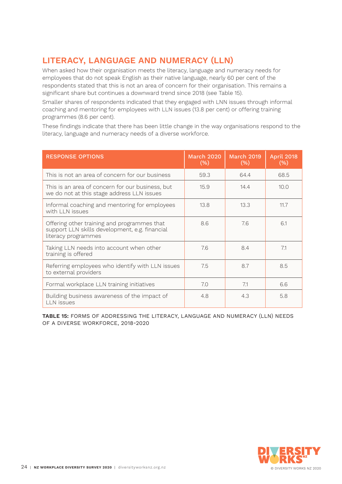# **Literacy, Language and Numeracy (LLN)**

When asked how their organisation meets the literacy, language and numeracy needs for employees that do not speak English as their native language, nearly 60 per cent of the respondents stated that this is not an area of concern for their organisation. This remains a significant share but continues a downward trend since 2018 (see Table 15).

Smaller shares of respondents indicated that they engaged with LNN issues through informal coaching and mentoring for employees with LLN issues (13.8 per cent) or offering training programmes (8.6 per cent).

These findings indicate that there has been little change in the way organisations respond to the literacy, language and numeracy needs of a diverse workforce.

| <b>RESPONSE OPTIONS</b>                                                                                              | <b>March 2020</b><br>(% ) | <b>March 2019</b><br>$(\%)$ | <b>April 2018</b><br>$(\%)$ |
|----------------------------------------------------------------------------------------------------------------------|---------------------------|-----------------------------|-----------------------------|
| This is not an area of concern for our business                                                                      | 59.3                      | 64.4                        | 68.5                        |
| This is an area of concern for our business, but<br>we do not at this stage address LLN issues                       | 15.9                      | 14.4                        | 10.0                        |
| Informal coaching and mentoring for employees<br>with LLN issues                                                     | 13.8                      | 13.3                        | 11.7                        |
| Offering other training and programmes that<br>support LLN skills development, e.g. financial<br>literacy programmes | 8.6                       | 7.6                         | 6.1                         |
| Taking LLN needs into account when other<br>training is offered                                                      | 7.6                       | 8.4                         | 7.1                         |
| Referring employees who identify with LLN issues<br>to external providers                                            | 7.5                       | 8.7                         | 8.5                         |
| Formal workplace LLN training initiatives                                                                            | 7.0                       | 7.1                         | 6.6                         |
| Building business awareness of the impact of<br><b>LLN</b> issues                                                    | 4.8                       | 4.3                         | 5.8                         |

**Table 15:** Forms of addressing the literacy, language and numeracy (LLN) needs of a diverse workforce, 2018-2020

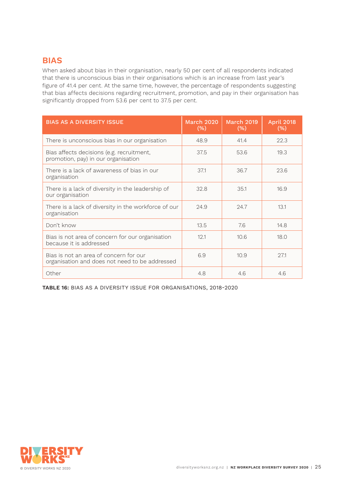#### **BIAS**

When asked about bias in their organisation, nearly 50 per cent of all respondents indicated that there is unconscious bias in their organisations which is an increase from last year's figure of 41.4 per cent. At the same time, however, the percentage of respondents suggesting that bias affects decisions regarding recruitment, promotion, and pay in their organisation has significantly dropped from 53.6 per cent to 37.5 per cent.

| <b>BIAS AS A DIVERSITY ISSUE</b>                                                         | <b>March 2020</b><br>(% ) | <b>March 2019</b><br>$(\%)$ | <b>April 2018</b><br>$(\% )$ |
|------------------------------------------------------------------------------------------|---------------------------|-----------------------------|------------------------------|
| There is unconscious bias in our organisation                                            | 48.9                      | 41.4                        | 22.3                         |
| Bias affects decisions (e.g. recruitment,<br>promotion, pay) in our organisation         | 37.5                      | 53.6                        | 19.3                         |
| There is a lack of awareness of bias in our<br>organisation                              | 371                       | 36.7                        | 23.6                         |
| There is a lack of diversity in the leadership of<br>our organisation                    | 32.8                      | 35.1                        | 16.9                         |
| There is a lack of diversity in the workforce of our<br>organisation                     | 24.9                      | 24.7                        | 13.1                         |
| Don't know                                                                               | 13.5                      | 7.6                         | 14.8                         |
| Bias is not area of concern for our organisation<br>because it is addressed              | 12.1                      | 10.6                        | 18.0                         |
| Bias is not an area of concern for our<br>organisation and does not need to be addressed | 6.9                       | 10.9                        | 27.1                         |
| Other                                                                                    | 4.8                       | 4.6                         | 4.6                          |

**Table 16:** Bias as a diversity issue for organisations, 2018-2020

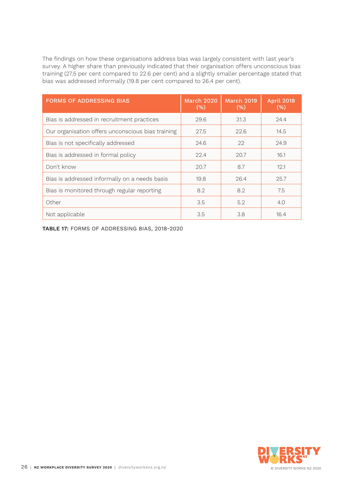The findings on how these organisations address bias was largely consistent with last year's survey. A higher share than previously indicated that their organisation offers unconscious bias training (27.5 per cent compared to 22.6 per cent) and a slightly smaller percentage stated that bias was addressed informally (19.8 per cent compared to 26.4 per cent).

| <b>FORMS OF ADDRESSING BIAS</b>                   | <b>March 2020</b><br>(% ) | <b>March 2019</b><br>(% ) | <b>April 2018</b><br>(% ) |
|---------------------------------------------------|---------------------------|---------------------------|---------------------------|
| Bias is addressed in recruitment practices        | 29.6                      | 31.3                      | 24.4                      |
| Our organisation offers unconscious bias training | 27.5                      | 22.6                      | 14.5                      |
| Bias is not specifically addressed                | 24.6                      | 22                        | 24.9                      |
| Bias is addressed in formal policy                | 22.4                      | 20.7                      | 16.1                      |
| Don't know                                        | 20.7                      | 8.7                       | 12.1                      |
| Bias is addressed informally on a needs basis     | 19.8                      | 26.4                      | 25.7                      |
| Bias is monitored through regular reporting       | 8.2                       | 8.2                       | 7.5                       |
| Other                                             | 3.5                       | 5.2                       | 4.0                       |
| Not applicable                                    | 3.5                       | 3.8                       | 16.4                      |

**Table 17:** Forms of addressing bias, 2018-2020

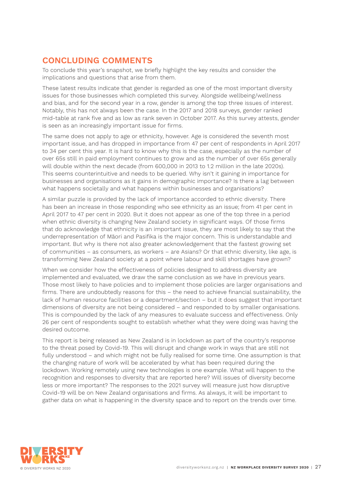#### **ConCLuding CoMMents**

To conclude this year's snapshot, we briefly highlight the key results and consider the implications and questions that arise from them.

These latest results indicate that gender is regarded as one of the most important diversity issues for those businesses which completed this survey. Alongside wellbeing/wellness and bias, and for the second year in a row, gender is among the top three issues of interest. Notably, this has not always been the case. In the 2017 and 2018 surveys, gender ranked mid-table at rank five and as low as rank seven in October 2017. As this survey attests, gender is seen as an increasingly important issue for firms.

The same does not apply to age or ethnicity, however. Age is considered the seventh most important issue, and has dropped in importance from 47 per cent of respondents in April 2017 to 34 per cent this year. It is hard to know why this is the case, especially as the number of over 65s still in paid employment continues to grow and as the number of over 65s generally will double within the next decade (from 600,000 in 2013 to 1.2 million in the late 2020s). This seems counterintuitive and needs to be queried. Why isn't it gaining in importance for businesses and organisations as it gains in demographic importance? Is there a lag between what happens societally and what happens within businesses and organisations?

A similar puzzle is provided by the lack of importance accorded to ethnic diversity. There has been an increase in those responding who see ethnicity as an issue; from 41 per cent in April 2017 to 47 per cent in 2020. But it does not appear as one of the top three in a period when ethnic diversity is changing New Zealand society in significant ways. Of those firms that do acknowledge that ethnicity is an important issue, they are most likely to say that the underrepresentation of Māori and Pasifika is the major concern. This is understandable and important. But why is there not also greater acknowledgement that the fastest growing set of communities – as consumers, as workers – are Asians? Or that ethnic diversity, like age, is transforming New Zealand society at a point where labour and skill shortages have grown?

When we consider how the effectiveness of policies designed to address diversity are implemented and evaluated, we draw the same conclusion as we have in previous years. Those most likely to have policies and to implement those policies are larger organisations and firms. There are undoubtedly reasons for this – the need to achieve financial sustainability, the lack of human resource facilities or a department/section – but it does suggest that important dimensions of diversity are not being considered – and responded to by smaller organisations. This is compounded by the lack of any measures to evaluate success and effectiveness. Only 26 per cent of respondents sought to establish whether what they were doing was having the desired outcome.

This report is being released as New Zealand is in lockdown as part of the country's response to the threat posed by Covid-19. This will disrupt and change work in ways that are still not fully understood – and which might not be fully realised for some time. One assumption is that the changing nature of work will be accelerated by what has been required during the lockdown. Working remotely using new technologies is one example. What will happen to the recognition and responses to diversity that are reported here? Will issues of diversity become less or more important? The responses to the 2021 survey will measure just how disruptive Covid-19 will be on New Zealand organisations and firms. As always, it will be important to gather data on what is happening in the diversity space and to report on the trends over time.